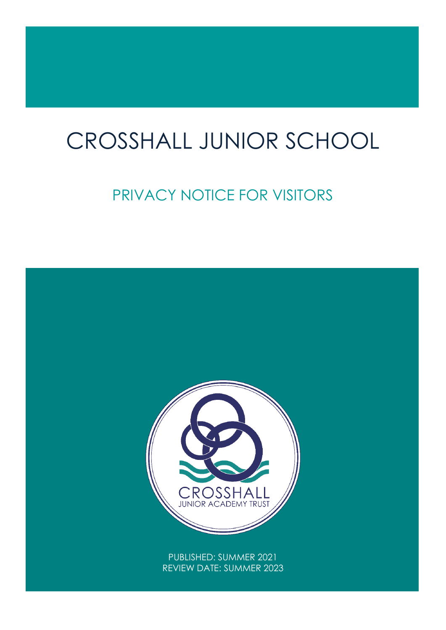# CROSSHALL JUNIOR SCHOOL

# PRIVACY NOTICE FOR VISITORS

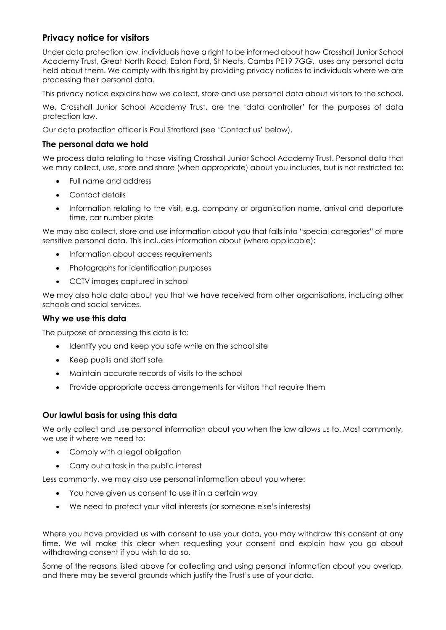# **Privacy notice for visitors**

Under data protection law, individuals have a right to be informed about how Crosshall Junior School Academy Trust, Great North Road, Eaton Ford, St Neots, Cambs PE19 7GG, uses any personal data held about them. We comply with this right by providing privacy notices to individuals where we are processing their personal data.

This privacy notice explains how we collect, store and use personal data about visitors to the school.

We, Crosshall Junior School Academy Trust, are the 'data controller' for the purposes of data protection law.

Our data protection officer is Paul Stratford (see 'Contact us' below).

# **The personal data we hold**

We process data relating to those visiting Crosshall Junior School Academy Trust. Personal data that we may collect, use, store and share (when appropriate) about you includes, but is not restricted to:

- Full name and address
- Contact details
- Information relating to the visit, e.g. company or organisation name, arrival and departure time, car number plate

We may also collect, store and use information about you that falls into "special categories" of more sensitive personal data. This includes information about (where applicable):

- Information about access requirements
- Photographs for identification purposes
- CCTV images captured in school

We may also hold data about you that we have received from other organisations, including other schools and social services.

#### **Why we use this data**

The purpose of processing this data is to:

- Identify you and keep you safe while on the school site
- Keep pupils and staff safe
- Maintain accurate records of visits to the school
- Provide appropriate access arrangements for visitors that require them

# **Our lawful basis for using this data**

We only collect and use personal information about you when the law allows us to. Most commonly, we use it where we need to:

- Comply with a legal obligation
- Carry out a task in the public interest

Less commonly, we may also use personal information about you where:

- You have given us consent to use it in a certain way
- We need to protect your vital interests (or someone else's interests)

Where you have provided us with consent to use your data, you may withdraw this consent at any time. We will make this clear when requesting your consent and explain how you go about withdrawing consent if you wish to do so.

Some of the reasons listed above for collecting and using personal information about you overlap, and there may be several grounds which justify the Trust's use of your data.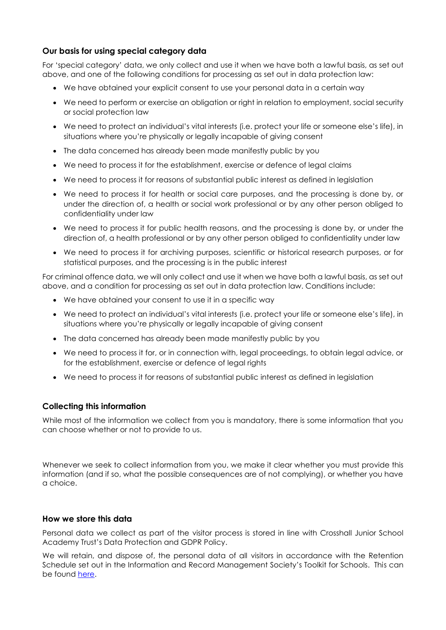# **Our basis for using special category data**

For 'special category' data, we only collect and use it when we have both a lawful basis, as set out above, and one of the following conditions for processing as set out in data protection law:

- We have obtained your explicit consent to use your personal data in a certain way
- We need to perform or exercise an obligation or right in relation to employment, social security or social protection law
- We need to protect an individual's vital interests (i.e. protect your life or someone else's life), in situations where you're physically or legally incapable of giving consent
- The data concerned has already been made manifestly public by you
- We need to process it for the establishment, exercise or defence of legal claims
- We need to process it for reasons of substantial public interest as defined in legislation
- We need to process it for health or social care purposes, and the processing is done by, or under the direction of, a health or social work professional or by any other person obliged to confidentiality under law
- We need to process it for public health reasons, and the processing is done by, or under the direction of, a health professional or by any other person obliged to confidentiality under law
- We need to process it for archiving purposes, scientific or historical research purposes, or for statistical purposes, and the processing is in the public interest

For criminal offence data, we will only collect and use it when we have both a lawful basis, as set out above, and a condition for processing as set out in data protection law. Conditions include:

- We have obtained your consent to use it in a specific way
- We need to protect an individual's vital interests (i.e. protect your life or someone else's life), in situations where you're physically or legally incapable of giving consent
- The data concerned has already been made manifestly public by you
- We need to process it for, or in connection with, legal proceedings, to obtain legal advice, or for the establishment, exercise or defence of legal rights
- We need to process it for reasons of substantial public interest as defined in legislation

#### **Collecting this information**

While most of the information we collect from you is mandatory, there is some information that you can choose whether or not to provide to us.

Whenever we seek to collect information from you, we make it clear whether you must provide this information (and if so, what the possible consequences are of not complying), or whether you have a choice.

#### **How we store this data**

Personal data we collect as part of the visitor process is stored in line with Crosshall Junior School Academy Trust's Data Protection and GDPR Policy.

We will retain, and dispose of, the personal data of all visitors in accordance with the Retention Schedule set out in the Information and Record Management Society's Toolkit for Schools. This can be found [here.](http://irms.org.uk/?page=schoolstoolkit&terms=%22toolkit+and+schools%22)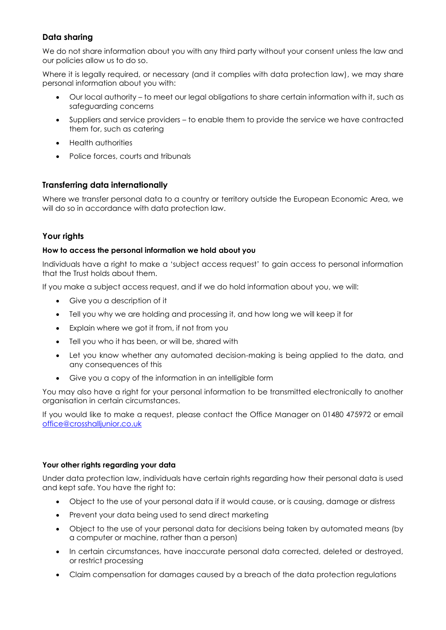# **Data sharing**

We do not share information about you with any third party without your consent unless the law and our policies allow us to do so.

Where it is legally required, or necessary (and it complies with data protection law), we may share personal information about you with:

- Our local authority to meet our legal obligations to share certain information with it, such as safeguarding concerns
- Suppliers and service providers to enable them to provide the service we have contracted them for, such as catering
- Health authorities
- Police forces, courts and tribunals

# **Transferring data internationally**

Where we transfer personal data to a country or territory outside the European Economic Area, we will do so in accordance with data protection law.

# **Your rights**

# **How to access the personal information we hold about you**

Individuals have a right to make a 'subject access request' to gain access to personal information that the Trust holds about them.

If you make a subject access request, and if we do hold information about you, we will:

- Give you a description of it
- Tell you why we are holding and processing it, and how long we will keep it for
- Explain where we got it from, if not from you
- Tell you who it has been, or will be, shared with
- Let you know whether any automated decision-making is being applied to the data, and any consequences of this
- Give you a copy of the information in an intelligible form

You may also have a right for your personal information to be transmitted electronically to another organisation in certain circumstances.

If you would like to make a request, please contact the Office Manager on 01480 475972 or email [office@crosshalljunior.co.uk](mailto:office@crosshalljunior.co.uk)

# **Your other rights regarding your data**

Under data protection law, individuals have certain rights regarding how their personal data is used and kept safe. You have the right to:

- Object to the use of your personal data if it would cause, or is causing, damage or distress
- Prevent your data being used to send direct marketing
- Object to the use of your personal data for decisions being taken by automated means (by a computer or machine, rather than a person)
- In certain circumstances, have inaccurate personal data corrected, deleted or destroyed, or restrict processing
- Claim compensation for damages caused by a breach of the data protection regulations